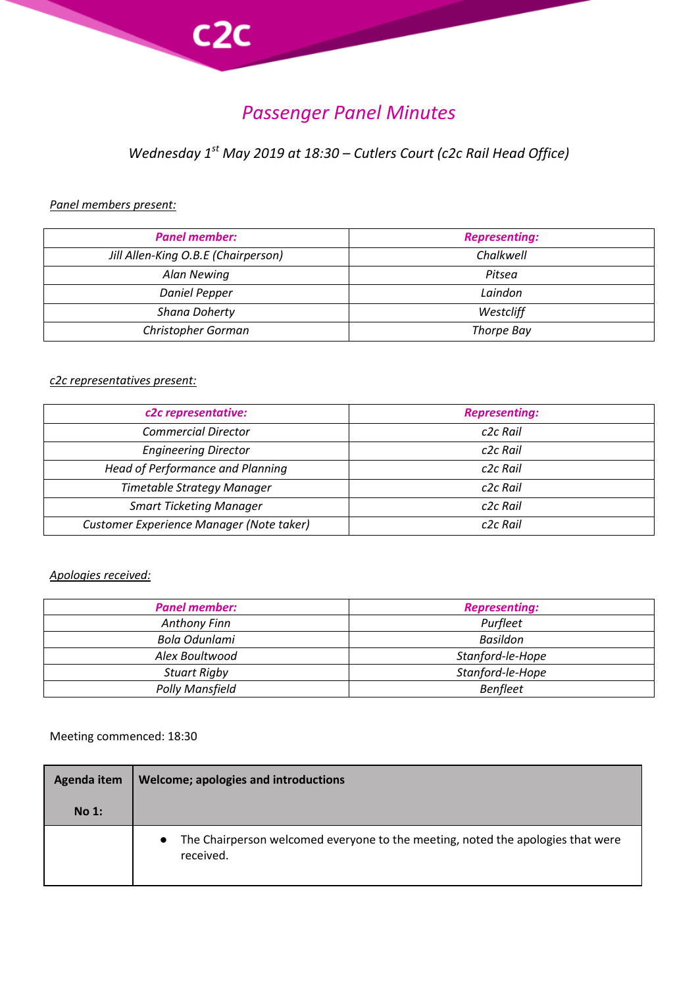

## *Wednesday 1st May 2019 at 18:30 – Cutlers Court (c2c Rail Head Office)*

## *Panel members present:*

 $c2c$ 

| <b>Panel member:</b>                | <b>Representing:</b> |
|-------------------------------------|----------------------|
| Jill Allen-King O.B.E (Chairperson) | Chalkwell            |
| Alan Newing                         | Pitsea               |
| <b>Daniel Pepper</b>                | Laindon              |
| <b>Shana Doherty</b>                | Westcliff            |
| Christopher Gorman                  | Thorpe Bay           |

## *c2c representatives present:*

| c2c representative:                      | <b>Representing:</b> |
|------------------------------------------|----------------------|
| <b>Commercial Director</b>               | c <sub>2c</sub> Rail |
| <b>Engineering Director</b>              | c <sub>2c</sub> Rail |
| Head of Performance and Planning         | c <sub>2c</sub> Rail |
| Timetable Strategy Manager               | c <sub>2c</sub> Rail |
| <b>Smart Ticketing Manager</b>           | c <sub>2c</sub> Rail |
| Customer Experience Manager (Note taker) | c <sub>2c</sub> Rail |

## *Apologies received:*

| <b>Panel member:</b>   | <b>Representing:</b> |
|------------------------|----------------------|
| <b>Anthony Finn</b>    | Purfleet             |
| Bola Odunlami          | Basildon             |
| Alex Boultwood         | Stanford-le-Hope     |
| <b>Stuart Rigby</b>    | Stanford-le-Hope     |
| <b>Polly Mansfield</b> | <b>Benfleet</b>      |

Meeting commenced: 18:30

| Agenda item | Welcome; apologies and introductions                                                                      |
|-------------|-----------------------------------------------------------------------------------------------------------|
| No 1:       |                                                                                                           |
|             | The Chairperson welcomed everyone to the meeting, noted the apologies that were<br>$\bullet$<br>received. |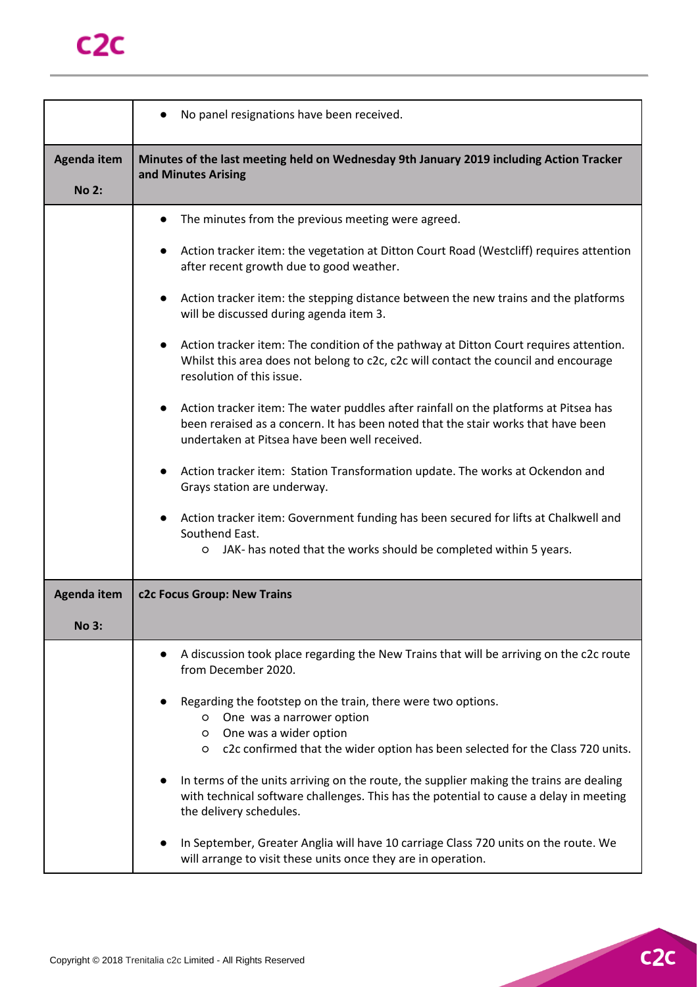|                                    | No panel resignations have been received.                                                                                                                                                                                                                                                                                                                                                                                                                                                                                                                                                                                                                                                                                                                                                                                                                                                                                                                                                                                                                                 |
|------------------------------------|---------------------------------------------------------------------------------------------------------------------------------------------------------------------------------------------------------------------------------------------------------------------------------------------------------------------------------------------------------------------------------------------------------------------------------------------------------------------------------------------------------------------------------------------------------------------------------------------------------------------------------------------------------------------------------------------------------------------------------------------------------------------------------------------------------------------------------------------------------------------------------------------------------------------------------------------------------------------------------------------------------------------------------------------------------------------------|
| Agenda item<br><b>No 2:</b>        | Minutes of the last meeting held on Wednesday 9th January 2019 including Action Tracker<br>and Minutes Arising                                                                                                                                                                                                                                                                                                                                                                                                                                                                                                                                                                                                                                                                                                                                                                                                                                                                                                                                                            |
|                                    | The minutes from the previous meeting were agreed.<br>Action tracker item: the vegetation at Ditton Court Road (Westcliff) requires attention<br>after recent growth due to good weather.<br>Action tracker item: the stepping distance between the new trains and the platforms<br>will be discussed during agenda item 3.<br>Action tracker item: The condition of the pathway at Ditton Court requires attention.<br>Whilst this area does not belong to c2c, c2c will contact the council and encourage<br>resolution of this issue.<br>Action tracker item: The water puddles after rainfall on the platforms at Pitsea has<br>been reraised as a concern. It has been noted that the stair works that have been<br>undertaken at Pitsea have been well received.<br>Action tracker item: Station Transformation update. The works at Ockendon and<br>Grays station are underway.<br>Action tracker item: Government funding has been secured for lifts at Chalkwell and<br>Southend East.<br>JAK- has noted that the works should be completed within 5 years.<br>O |
| <b>Agenda item</b><br><b>No 3:</b> | c2c Focus Group: New Trains                                                                                                                                                                                                                                                                                                                                                                                                                                                                                                                                                                                                                                                                                                                                                                                                                                                                                                                                                                                                                                               |
|                                    | A discussion took place regarding the New Trains that will be arriving on the c2c route<br>from December 2020.<br>Regarding the footstep on the train, there were two options.<br>One was a narrower option<br>O<br>One was a wider option<br>O<br>c2c confirmed that the wider option has been selected for the Class 720 units.<br>O<br>In terms of the units arriving on the route, the supplier making the trains are dealing<br>with technical software challenges. This has the potential to cause a delay in meeting<br>the delivery schedules.<br>In September, Greater Anglia will have 10 carriage Class 720 units on the route. We<br>will arrange to visit these units once they are in operation.                                                                                                                                                                                                                                                                                                                                                            |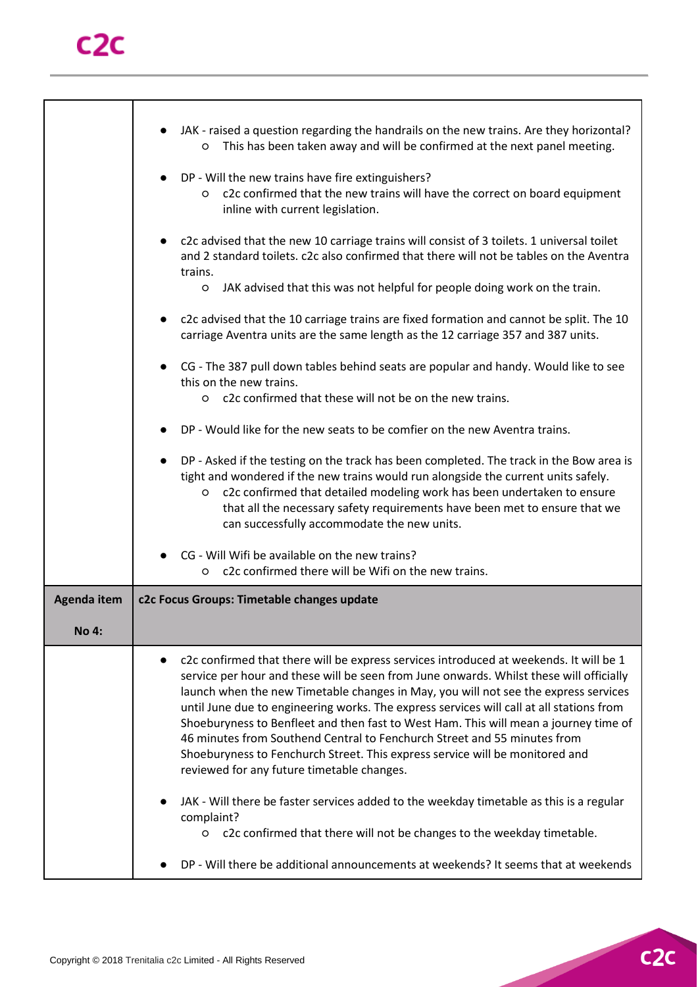|              | JAK - raised a question regarding the handrails on the new trains. Are they horizontal?<br>This has been taken away and will be confirmed at the next panel meeting.<br>$\circ$                                                                                                                                                                                                                                                                                                                                                                                                                                                                                        |
|--------------|------------------------------------------------------------------------------------------------------------------------------------------------------------------------------------------------------------------------------------------------------------------------------------------------------------------------------------------------------------------------------------------------------------------------------------------------------------------------------------------------------------------------------------------------------------------------------------------------------------------------------------------------------------------------|
|              | DP - Will the new trains have fire extinguishers?<br>c2c confirmed that the new trains will have the correct on board equipment<br>$\circ$<br>inline with current legislation.                                                                                                                                                                                                                                                                                                                                                                                                                                                                                         |
|              | c2c advised that the new 10 carriage trains will consist of 3 toilets. 1 universal toilet<br>and 2 standard toilets. c2c also confirmed that there will not be tables on the Aventra<br>trains.                                                                                                                                                                                                                                                                                                                                                                                                                                                                        |
|              | JAK advised that this was not helpful for people doing work on the train.<br>$\circ$                                                                                                                                                                                                                                                                                                                                                                                                                                                                                                                                                                                   |
|              | c2c advised that the 10 carriage trains are fixed formation and cannot be split. The 10<br>carriage Aventra units are the same length as the 12 carriage 357 and 387 units.                                                                                                                                                                                                                                                                                                                                                                                                                                                                                            |
|              | CG - The 387 pull down tables behind seats are popular and handy. Would like to see<br>this on the new trains.<br>c2c confirmed that these will not be on the new trains.<br>$\circ$                                                                                                                                                                                                                                                                                                                                                                                                                                                                                   |
|              | DP - Would like for the new seats to be comfier on the new Aventra trains.                                                                                                                                                                                                                                                                                                                                                                                                                                                                                                                                                                                             |
|              | DP - Asked if the testing on the track has been completed. The track in the Bow area is<br>tight and wondered if the new trains would run alongside the current units safely.<br>o c2c confirmed that detailed modeling work has been undertaken to ensure<br>that all the necessary safety requirements have been met to ensure that we<br>can successfully accommodate the new units.                                                                                                                                                                                                                                                                                |
|              | CG - Will Wifi be available on the new trains?<br>c2c confirmed there will be Wifi on the new trains.<br>$\circ$                                                                                                                                                                                                                                                                                                                                                                                                                                                                                                                                                       |
| Agenda item  | c2c Focus Groups: Timetable changes update                                                                                                                                                                                                                                                                                                                                                                                                                                                                                                                                                                                                                             |
| <b>No 4:</b> |                                                                                                                                                                                                                                                                                                                                                                                                                                                                                                                                                                                                                                                                        |
|              | c2c confirmed that there will be express services introduced at weekends. It will be 1<br>service per hour and these will be seen from June onwards. Whilst these will officially<br>launch when the new Timetable changes in May, you will not see the express services<br>until June due to engineering works. The express services will call at all stations from<br>Shoeburyness to Benfleet and then fast to West Ham. This will mean a journey time of<br>46 minutes from Southend Central to Fenchurch Street and 55 minutes from<br>Shoeburyness to Fenchurch Street. This express service will be monitored and<br>reviewed for any future timetable changes. |
|              | JAK - Will there be faster services added to the weekday timetable as this is a regular<br>complaint?<br>c2c confirmed that there will not be changes to the weekday timetable.<br>$\circ$                                                                                                                                                                                                                                                                                                                                                                                                                                                                             |
|              |                                                                                                                                                                                                                                                                                                                                                                                                                                                                                                                                                                                                                                                                        |
|              | DP - Will there be additional announcements at weekends? It seems that at weekends                                                                                                                                                                                                                                                                                                                                                                                                                                                                                                                                                                                     |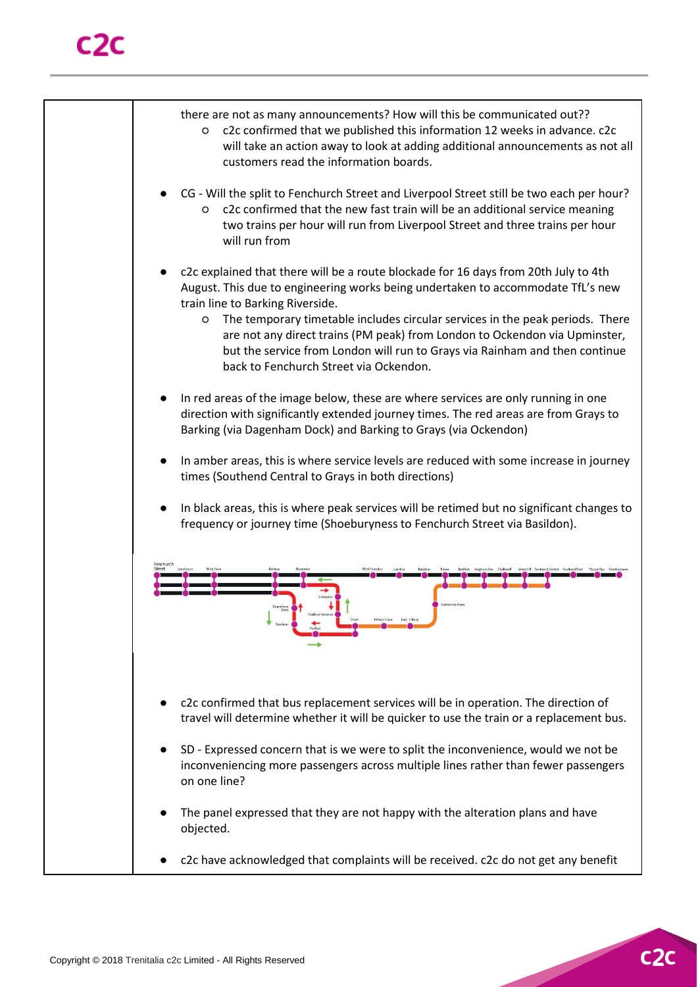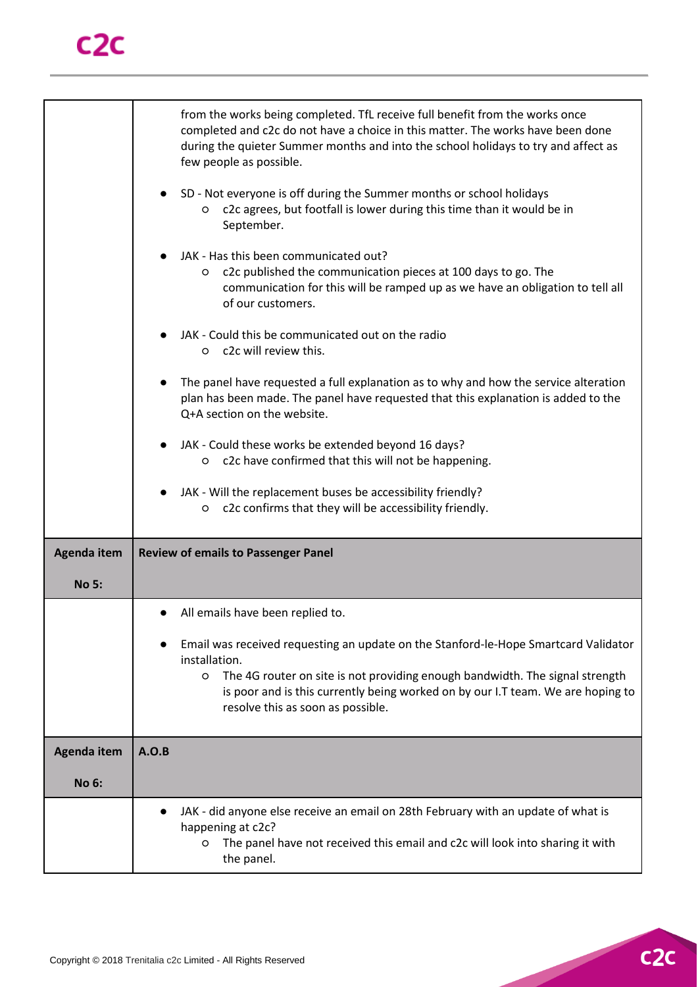|                    | from the works being completed. TfL receive full benefit from the works once<br>completed and c2c do not have a choice in this matter. The works have been done<br>during the quieter Summer months and into the school holidays to try and affect as<br>few people as possible.<br>SD - Not everyone is off during the Summer months or school holidays<br>c2c agrees, but footfall is lower during this time than it would be in<br>O<br>September.<br>JAK - Has this been communicated out?<br>c2c published the communication pieces at 100 days to go. The<br>O<br>communication for this will be ramped up as we have an obligation to tell all<br>of our customers.<br>JAK - Could this be communicated out on the radio<br>c2c will review this.<br>$\circ$<br>The panel have requested a full explanation as to why and how the service alteration<br>plan has been made. The panel have requested that this explanation is added to the<br>Q+A section on the website.<br>JAK - Could these works be extended beyond 16 days?<br>c2c have confirmed that this will not be happening.<br>O<br>JAK - Will the replacement buses be accessibility friendly? |
|--------------------|--------------------------------------------------------------------------------------------------------------------------------------------------------------------------------------------------------------------------------------------------------------------------------------------------------------------------------------------------------------------------------------------------------------------------------------------------------------------------------------------------------------------------------------------------------------------------------------------------------------------------------------------------------------------------------------------------------------------------------------------------------------------------------------------------------------------------------------------------------------------------------------------------------------------------------------------------------------------------------------------------------------------------------------------------------------------------------------------------------------------------------------------------------------------|
|                    | c2c confirms that they will be accessibility friendly.<br>O                                                                                                                                                                                                                                                                                                                                                                                                                                                                                                                                                                                                                                                                                                                                                                                                                                                                                                                                                                                                                                                                                                        |
| <b>Agenda item</b> | <b>Review of emails to Passenger Panel</b>                                                                                                                                                                                                                                                                                                                                                                                                                                                                                                                                                                                                                                                                                                                                                                                                                                                                                                                                                                                                                                                                                                                         |
| <b>No 5:</b>       |                                                                                                                                                                                                                                                                                                                                                                                                                                                                                                                                                                                                                                                                                                                                                                                                                                                                                                                                                                                                                                                                                                                                                                    |
|                    | All emails have been replied to.                                                                                                                                                                                                                                                                                                                                                                                                                                                                                                                                                                                                                                                                                                                                                                                                                                                                                                                                                                                                                                                                                                                                   |
|                    | Email was received requesting an update on the Stanford-le-Hope Smartcard Validator<br>installation.<br>The 4G router on site is not providing enough bandwidth. The signal strength<br>O<br>is poor and is this currently being worked on by our I.T team. We are hoping to<br>resolve this as soon as possible.                                                                                                                                                                                                                                                                                                                                                                                                                                                                                                                                                                                                                                                                                                                                                                                                                                                  |
| <b>Agenda item</b> | A.O.B                                                                                                                                                                                                                                                                                                                                                                                                                                                                                                                                                                                                                                                                                                                                                                                                                                                                                                                                                                                                                                                                                                                                                              |
| <b>No 6:</b>       |                                                                                                                                                                                                                                                                                                                                                                                                                                                                                                                                                                                                                                                                                                                                                                                                                                                                                                                                                                                                                                                                                                                                                                    |
|                    | JAK - did anyone else receive an email on 28th February with an update of what is<br>happening at c2c?<br>The panel have not received this email and c2c will look into sharing it with<br>O<br>the panel.                                                                                                                                                                                                                                                                                                                                                                                                                                                                                                                                                                                                                                                                                                                                                                                                                                                                                                                                                         |